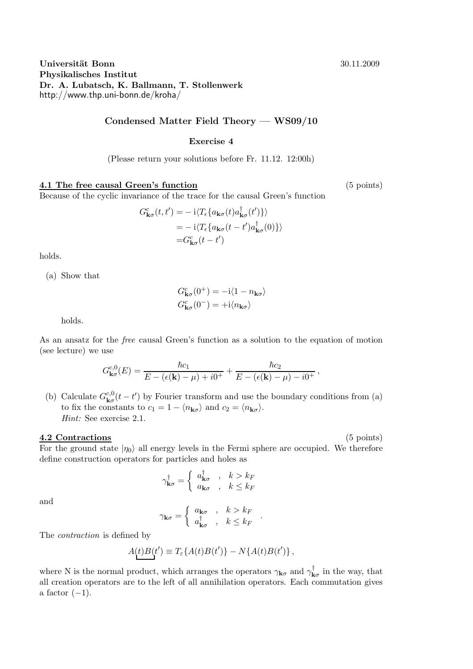# Universität Bonn 30.11.2009 Physikalisches Institut Dr. A. Lubatsch, K. Ballmann, T. Stollenwerk http://www.thp.uni-bonn.de/kroha/

# Condensed Matter Field Theory — WS09/10

#### Exercise 4

(Please return your solutions before Fr. 11.12. 12:00h)

### 4.1 The free causal Green's function (5 points)

Because of the cyclic invariance of the trace for the causal Green's function

$$
G_{\mathbf{k}\sigma}^{c}(t, t') = -i \langle T_{\epsilon} \{ a_{\mathbf{k}\sigma}(t) a_{\mathbf{k}\sigma}^{\dagger}(t') \} \rangle
$$
  
= -i \langle T\_{\epsilon} \{ a\_{\mathbf{k}\sigma}(t - t') a\_{\mathbf{k}\sigma}^{\dagger}(0) \} \rangle  
= G\_{\mathbf{k}\sigma}^{c}(t - t')

holds.

(a) Show that

$$
G_{\mathbf{k}\sigma}^{c}(0^{+}) = -\mathrm{i}\langle 1 - n_{\mathbf{k}\sigma} \rangle
$$

$$
G_{\mathbf{k}\sigma}^{c}(0^{-}) = +\mathrm{i}\langle n_{\mathbf{k}\sigma} \rangle
$$

holds.

As an ansatz for the free causal Green's function as a solution to the equation of motion (see lecture) we use

$$
G_{\mathbf{k}\sigma}^{c,0}(E) = \frac{\hbar c_1}{E - (\epsilon(\mathbf{k}) - \mu) + i0^+} + \frac{\hbar c_2}{E - (\epsilon(\mathbf{k}) - \mu) - i0^+},
$$

(b) Calculate  $G_{\mathbf{k}\sigma}^{c,0}(t-t')$  by Fourier transform and use the boundary conditions from (a) to fix the constants to  $c_1 = 1 - \langle n_{\mathbf{k}\sigma} \rangle$  and  $c_2 = \langle n_{\mathbf{k}\sigma} \rangle$ . Hint: See exercise 2.1.

## 4.2 Contractions (5 points)

For the ground state  $|\eta_0\rangle$  all energy levels in the Fermi sphere are occupied. We therefore define construction operators for particles and holes as

$$
\gamma_{\mathbf{k}\sigma}^{\dagger} = \begin{cases} a_{\mathbf{k}\sigma}^{\dagger} & , k > k_F \\ a_{\mathbf{k}\sigma}^{\dagger} & , k \leq k_F \end{cases}
$$

and

$$
\gamma_{\mathbf{k}\sigma} = \left\{ \begin{array}{c} a_{\mathbf{k}\sigma} & , \quad k > k_F \\ a_{\mathbf{k}\sigma}^{\dagger} & , \quad k \leq k_F \end{array} \right. .
$$

The contraction is defined by

$$
A(t)B(t') \equiv T_{\varepsilon} \{A(t)B(t')\} - N\{A(t)B(t')\},\,
$$

where N is the normal product, which arranges the operators  $\gamma_{\mathbf{k}\sigma}$  and  $\gamma_{\mathbf{k}\sigma}^{\dagger}$  in the way, that all creation operators are to the left of all annihilation operators. Each commutation gives a factor  $(-1)$ .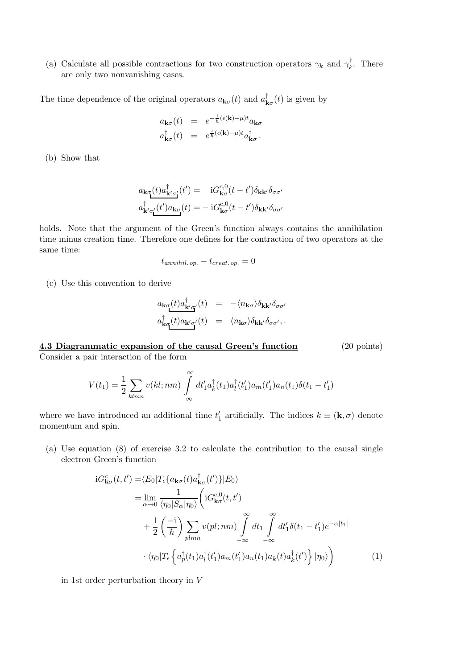(a) Calculate all possible contractions for two construction operators  $\gamma_k$  and  $\gamma_k^{\dagger}$  $\frac{1}{k}$ . There are only two nonvanishing cases.

The time dependence of the original operators  $a_{\mathbf{k}\sigma}(t)$  and  $a_{\mathbf{k}\sigma}^{\dagger}(t)$  is given by

$$
a_{\mathbf{k}\sigma}(t) = e^{-\frac{i}{\hbar}(\epsilon(\mathbf{k}) - \mu)t} a_{\mathbf{k}\sigma}
$$
  

$$
a_{\mathbf{k}\sigma}^{\dagger}(t) = e^{\frac{i}{\hbar}(\epsilon(\mathbf{k}) - \mu)t} a_{\mathbf{k}\sigma}^{\dagger}.
$$

(b) Show that

$$
a_{\mathbf{k}\sigma}(t)a^{\dagger}_{\mathbf{k}'\sigma'}(t') = iG^{c,0}_{\mathbf{k}\sigma}(t-t')\delta_{\mathbf{k}\mathbf{k}'}\delta_{\sigma\sigma'}
$$

$$
a^{\dagger}_{\mathbf{k}'\sigma'_{\mathbf{l}}}(t')a_{\mathbf{k}\sigma}(t) = -iG^{c,0}_{\mathbf{k}\sigma}(t-t')\delta_{\mathbf{k}\mathbf{k}'}\delta_{\sigma\sigma'}
$$

holds. Note that the argument of the Green's function always contains the annihilation time minus creation time. Therefore one defines for the contraction of two operators at the same time:

$$
t_{annihil. op.} - t_{create. op.} = 0^-
$$

(c) Use this convention to derive

$$
a_{\mathbf{k}\sigma}(t)a^{\dagger}_{\mathbf{k}'\sigma'}(t) = -\langle n_{\mathbf{k}\sigma} \rangle \delta_{\mathbf{k}\mathbf{k}'} \delta_{\sigma\sigma'}
$$
  

$$
a^{\dagger}_{\mathbf{k}\sigma}(t)a_{\mathbf{k}'\sigma'}(t) = \langle n_{\mathbf{k}\sigma} \rangle \delta_{\mathbf{k}\mathbf{k}'} \delta_{\sigma\sigma'},
$$

4.3 Diagrammatic expansion of the causal Green's function (20 points) Consider a pair interaction of the form

$$
V(t_1) = \frac{1}{2} \sum_{klmn} v(kl; nm) \int_{-\infty}^{\infty} dt_1' a_k^{\dagger}(t_1) a_l^{\dagger}(t_1') a_m(t_1') a_n(t_1) \delta(t_1 - t_1')
$$

where we have introduced an additional time  $t'_1$  artificially. The indices  $k \equiv (\mathbf{k}, \sigma)$  denote momentum and spin.

(a) Use equation (8) of exercise 3.2 to calculate the contribution to the causal single electron Green's function

$$
iG_{\mathbf{k}\sigma}^{c}(t,t') = \langle E_{0}|T_{\epsilon}\{a_{\mathbf{k}\sigma}(t)a_{\mathbf{k}\sigma}^{\dagger}(t')\}|E_{0}\rangle
$$
  
\n
$$
= \lim_{\alpha \to 0} \frac{1}{\langle \eta_{0}|S_{\alpha}|\eta_{0}\rangle} \left\langle iG_{\mathbf{k}\sigma}^{c,0}(t,t')\right\rangle
$$
  
\n
$$
+ \frac{1}{2} \left(\frac{-i}{\hbar}\right) \sum_{plmn} v(pl;nm) \int_{-\infty}^{\infty} dt_{1} \int_{-\infty}^{\infty} dt'_{1} \delta(t_{1} - t'_{1}) e^{-\alpha|t_{1}|}
$$
  
\n
$$
\cdot \langle \eta_{0}|T_{\epsilon} \left\{ a_{p}^{\dagger}(t_{1})a_{q}^{\dagger}(t'_{1})a_{m}(t'_{1})a_{k}(t)a_{k}^{\dagger}(t') \right\} | \eta_{0} \rangle \right)
$$
(1)

in 1st order perturbation theory in  $V$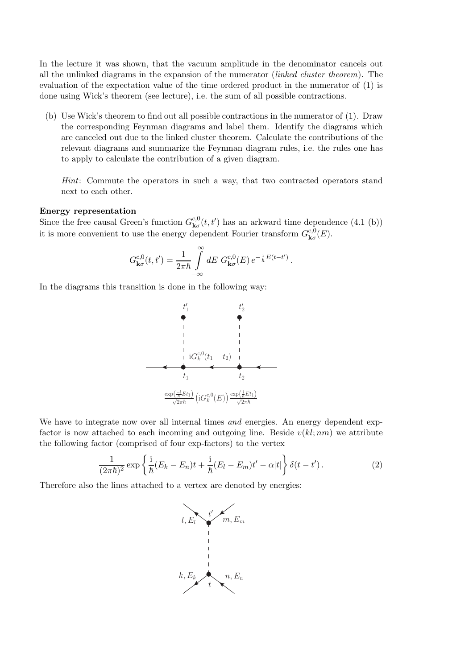In the lecture it was shown, that the vacuum amplitude in the denominator cancels out all the unlinked diagrams in the expansion of the numerator (linked cluster theorem). The evaluation of the expectation value of the time ordered product in the numerator of (1) is done using Wick's theorem (see lecture), i.e. the sum of all possible contractions.

(b) Use Wick's theorem to find out all possible contractions in the numerator of (1). Draw the corresponding Feynman diagrams and label them. Identify the diagrams which are canceled out due to the linked cluster theorem. Calculate the contributions of the relevant diagrams and summarize the Feynman diagram rules, i.e. the rules one has to apply to calculate the contribution of a given diagram.

Hint: Commute the operators in such a way, that two contracted operators stand next to each other.

#### Energy representation

Since the free causal Green's function  $G_{\mathbf{k}\sigma}^{c,0}(t,t')$  has an arkward time dependence (4.1 (b)) it is more convenient to use the energy dependent Fourier transform  $G_{\mathbf{k}\sigma}^{c,0}(E)$ .

$$
G_{\mathbf{k}\sigma}^{c,0}(t,t')=\frac{1}{2\pi\hbar}\int\limits_{-\infty}^{\infty}dE\ G_{\mathbf{k}\sigma}^{c,0}(E)\,e^{-\frac{i}{\hbar}E(t-t')}\,.
$$

In the diagrams this transition is done in the following way:



We have to integrate now over all internal times and energies. An energy dependent expfactor is now attached to each incoming and outgoing line. Beside  $v(kl; nm)$  we attribute the following factor (comprised of four exp-factors) to the vertex

$$
\frac{1}{(2\pi\hbar)^2} \exp\left\{\frac{i}{\hbar}(E_k - E_n)t + \frac{i}{\hbar}(E_l - E_m)t' - \alpha|t|\right\}\delta(t - t'). \tag{2}
$$

Therefore also the lines attached to a vertex are denoted by energies: